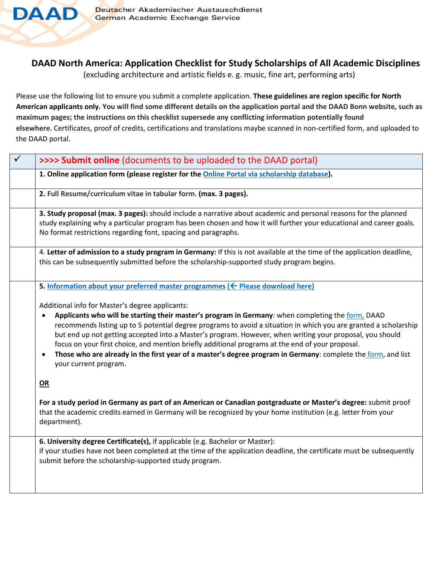

## **DAAD North America: Application Checklist for Study Scholarships of All Academic Disciplines**

(excluding architecture and artistic fields e. g. music, fine art, performing arts)

Please use the following list to ensure you submit a complete application. **These guidelines are region specific for North American applicants only. You will find some different details on the application portal and the DAAD Bonn website, such as maximum pages; the instructions on this checklist supersede any conflicting information potentially found elsewhere.** Certificates, proof of credits, certifications and translations maybe scanned in non-certified form, and uploaded to the DAAD portal.

| $\checkmark$ | >>>> Submit online (documents to be uploaded to the DAAD portal)                                                                                                                                                                                                                                                                                                                                                                                                                                                                                                                                                                               |
|--------------|------------------------------------------------------------------------------------------------------------------------------------------------------------------------------------------------------------------------------------------------------------------------------------------------------------------------------------------------------------------------------------------------------------------------------------------------------------------------------------------------------------------------------------------------------------------------------------------------------------------------------------------------|
|              | 1. Online application form (please register for the Online Portal via scholarship database).                                                                                                                                                                                                                                                                                                                                                                                                                                                                                                                                                   |
|              | 2. Full Resume/curriculum vitae in tabular form. (max. 3 pages).                                                                                                                                                                                                                                                                                                                                                                                                                                                                                                                                                                               |
|              | 3. Study proposal (max. 3 pages): should include a narrative about academic and personal reasons for the planned<br>study explaining why a particular program has been chosen and how it will further your educational and career goals.<br>No format restrictions regarding font, spacing and paragraphs.                                                                                                                                                                                                                                                                                                                                     |
|              | 4. Letter of admission to a study program in Germany: If this is not available at the time of the application deadline,<br>this can be subsequently submitted before the scholarship-supported study program begins.                                                                                                                                                                                                                                                                                                                                                                                                                           |
|              | 5. Information about your preferred master programmes ( $\leftarrow$ Please download here)                                                                                                                                                                                                                                                                                                                                                                                                                                                                                                                                                     |
|              | Additional info for Master's degree applicants:<br>Applicants who will be starting their master's program in Germany: when completing the form, DAAD<br>$\bullet$<br>recommends listing up to 5 potential degree programs to avoid a situation in which you are granted a scholarship<br>but end up not getting accepted into a Master's program. However, when writing your proposal, you should<br>focus on your first choice, and mention briefly additional programs at the end of your proposal.<br>Those who are already in the first year of a master's degree program in Germany: complete the form, and list<br>your current program. |
|              | OR                                                                                                                                                                                                                                                                                                                                                                                                                                                                                                                                                                                                                                             |
|              | For a study period in Germany as part of an American or Canadian postgraduate or Master's degree: submit proof<br>that the academic credits earned in Germany will be recognized by your home institution (e.g. letter from your<br>department).                                                                                                                                                                                                                                                                                                                                                                                               |
|              | 6. University degree Certificate(s), if applicable (e.g. Bachelor or Master):<br>if your studies have not been completed at the time of the application deadline, the certificate must be subsequently<br>submit before the scholarship-supported study program.                                                                                                                                                                                                                                                                                                                                                                               |